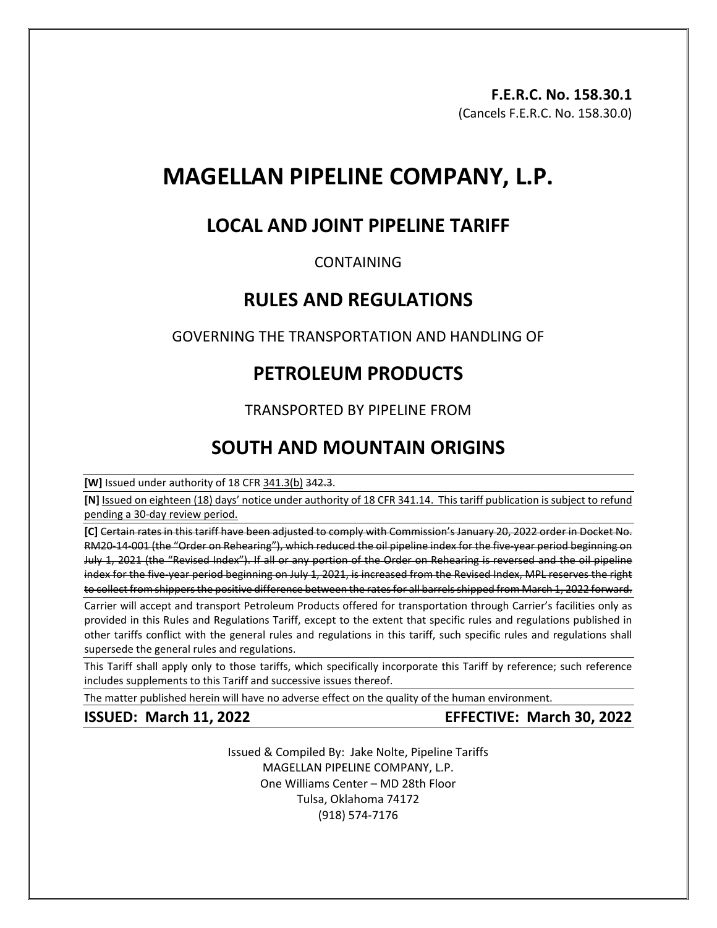# **MAGELLAN PIPELINE COMPANY, L.P.**

## **LOCAL AND JOINT PIPELINE TARIFF**

### CONTAINING

## **RULES AND REGULATIONS**

GOVERNING THE TRANSPORTATION AND HANDLING OF

## **PETROLEUM PRODUCTS**

## TRANSPORTED BY PIPELINE FROM

## **SOUTH AND MOUNTAIN ORIGINS**

**[W]** Issued under authority of 18 CFR 341.3(b) 342.3.

**[N]** Issued on eighteen (18) days' notice under authority of 18 CFR 341.14. This tariff publication is subject to refund pending a 30-day review period.

**[C]** Certain rates in this tariff have been adjusted to comply with Commission's January 20, 2022 order in Docket No. RM20-14-001 (the "Order on Rehearing"), which reduced the oil pipeline index for the five-year period beginning on July 1, 2021 (the "Revised Index"). If all or any portion of the Order on Rehearing is reversed and the oil pipeline index for the five-year period beginning on July 1, 2021, is increased from the Revised Index, MPL reserves the right to collect from shippers the positive difference between the rates for all barrels shipped from March 1, 2022 forward.

Carrier will accept and transport Petroleum Products offered for transportation through Carrier's facilities only as provided in this Rules and Regulations Tariff, except to the extent that specific rules and regulations published in other tariffs conflict with the general rules and regulations in this tariff, such specific rules and regulations shall supersede the general rules and regulations.

This Tariff shall apply only to those tariffs, which specifically incorporate this Tariff by reference; such reference includes supplements to this Tariff and successive issues thereof.

The matter published herein will have no adverse effect on the quality of the human environment.

**ISSUED: March 11, 2022 EFFECTIVE: March 30, 2022** 

Issued & Compiled By: Jake Nolte, Pipeline Tariffs MAGELLAN PIPELINE COMPANY, L.P. One Williams Center – MD 28th Floor Tulsa, Oklahoma 74172 (918) 574-7176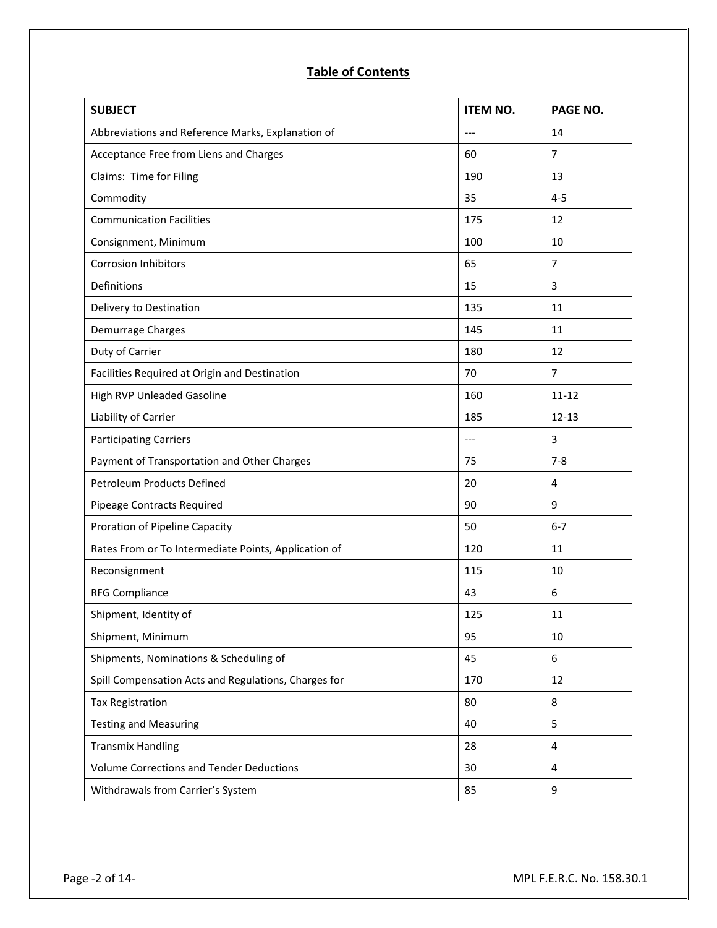## **Table of Contents**

| <b>SUBJECT</b>                                       | <b>ITEM NO.</b> | PAGE NO.       |
|------------------------------------------------------|-----------------|----------------|
| Abbreviations and Reference Marks, Explanation of    | $---$           | 14             |
| Acceptance Free from Liens and Charges               | 60              | 7              |
| Claims: Time for Filing                              | 190             | 13             |
| Commodity                                            | 35              | $4 - 5$        |
| <b>Communication Facilities</b>                      | 175             | 12             |
| Consignment, Minimum                                 | 100             | 10             |
| <b>Corrosion Inhibitors</b>                          | 65              | $\overline{7}$ |
| Definitions                                          | 15              | 3              |
| Delivery to Destination                              | 135             | 11             |
| Demurrage Charges                                    | 145             | 11             |
| Duty of Carrier                                      | 180             | 12             |
| Facilities Required at Origin and Destination        | 70              | $\overline{7}$ |
| High RVP Unleaded Gasoline                           | 160             | $11 - 12$      |
| Liability of Carrier                                 | 185             | $12 - 13$      |
| <b>Participating Carriers</b>                        | $---$           | 3              |
| Payment of Transportation and Other Charges          | 75              | $7 - 8$        |
| <b>Petroleum Products Defined</b>                    | 20              | 4              |
| Pipeage Contracts Required                           | 90              | 9              |
| Proration of Pipeline Capacity                       | 50              | $6 - 7$        |
| Rates From or To Intermediate Points, Application of | 120             | 11             |
| Reconsignment                                        | 115             | 10             |
| <b>RFG Compliance</b>                                | 43              | 6              |
| Shipment, Identity of                                | 125             | 11             |
| Shipment, Minimum                                    | 95              | 10             |
| Shipments, Nominations & Scheduling of               | 45              | 6              |
| Spill Compensation Acts and Regulations, Charges for | 170             | 12             |
| <b>Tax Registration</b>                              | 80              | 8              |
| <b>Testing and Measuring</b>                         | 40              | 5              |
| <b>Transmix Handling</b>                             | 28              | 4              |
| <b>Volume Corrections and Tender Deductions</b>      | 30              | 4              |
| Withdrawals from Carrier's System                    | 85              | 9              |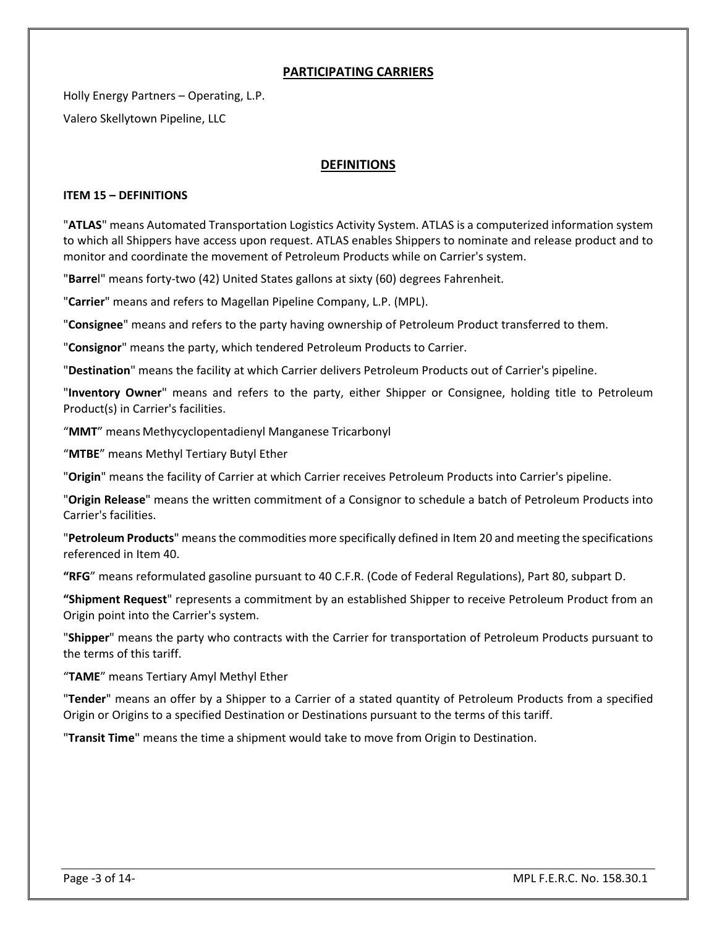#### **PARTICIPATING CARRIERS**

Holly Energy Partners – Operating, L.P. Valero Skellytown Pipeline, LLC

#### **DEFINITIONS**

#### **ITEM 15 – DEFINITIONS**

"**ATLAS**" means Automated Transportation Logistics Activity System. ATLAS is a computerized information system to which all Shippers have access upon request. ATLAS enables Shippers to nominate and release product and to monitor and coordinate the movement of Petroleum Products while on Carrier's system.

"**Barre**l" means forty-two (42) United States gallons at sixty (60) degrees Fahrenheit.

"**Carrier**" means and refers to Magellan Pipeline Company, L.P. (MPL).

"**Consignee**" means and refers to the party having ownership of Petroleum Product transferred to them.

"**Consignor**" means the party, which tendered Petroleum Products to Carrier.

"**Destination**" means the facility at which Carrier delivers Petroleum Products out of Carrier's pipeline.

"**Inventory Owner**" means and refers to the party, either Shipper or Consignee, holding title to Petroleum Product(s) in Carrier's facilities.

"**MMT**" means Methycyclopentadienyl Manganese Tricarbonyl

"**MTBE**" means Methyl Tertiary Butyl Ether

"**Origin**" means the facility of Carrier at which Carrier receives Petroleum Products into Carrier's pipeline.

"**Origin Release**" means the written commitment of a Consignor to schedule a batch of Petroleum Products into Carrier's facilities.

"**Petroleum Products**" means the commodities more specifically defined in Item 20 and meeting the specifications referenced in Item 40.

**"RFG**" means reformulated gasoline pursuant to 40 C.F.R. (Code of Federal Regulations), Part 80, subpart D.

**"Shipment Request**" represents a commitment by an established Shipper to receive Petroleum Product from an Origin point into the Carrier's system.

"**Shipper**" means the party who contracts with the Carrier for transportation of Petroleum Products pursuant to the terms of this tariff.

"**TAME**" means Tertiary Amyl Methyl Ether

"**Tender**" means an offer by a Shipper to a Carrier of a stated quantity of Petroleum Products from a specified Origin or Origins to a specified Destination or Destinations pursuant to the terms of this tariff.

"**Transit Time**" means the time a shipment would take to move from Origin to Destination.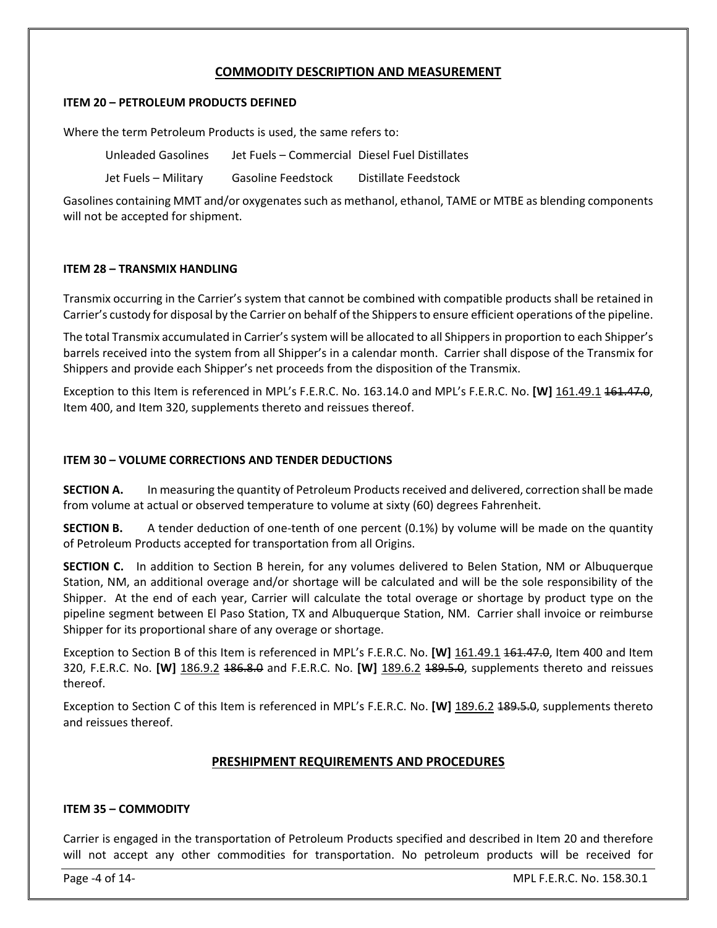#### **COMMODITY DESCRIPTION AND MEASUREMENT**

#### **ITEM 20 – PETROLEUM PRODUCTS DEFINED**

Where the term Petroleum Products is used, the same refers to:

| Unleaded Gasolines   | Jet Fuels – Commercial Diesel Fuel Distillates |                      |
|----------------------|------------------------------------------------|----------------------|
| Jet Fuels – Military | <b>Gasoline Feedstock</b>                      | Distillate Feedstock |

Gasolines containing MMT and/or oxygenates such as methanol, ethanol, TAME or MTBE as blending components will not be accepted for shipment.

#### **ITEM 28 – TRANSMIX HANDLING**

Transmix occurring in the Carrier's system that cannot be combined with compatible products shall be retained in Carrier's custody for disposal by the Carrier on behalf of the Shippers to ensure efficient operations of the pipeline.

The total Transmix accumulated in Carrier's system will be allocated to all Shippers in proportion to each Shipper's barrels received into the system from all Shipper's in a calendar month. Carrier shall dispose of the Transmix for Shippers and provide each Shipper's net proceeds from the disposition of the Transmix.

Exception to this Item is referenced in MPL's F.E.R.C. No. 163.14.0 and MPL's F.E.R.C. No. **[W]** 161.49.1 161.47.0, Item 400, and Item 320, supplements thereto and reissues thereof.

#### **ITEM 30 – VOLUME CORRECTIONS AND TENDER DEDUCTIONS**

**SECTION A.** In measuring the quantity of Petroleum Products received and delivered, correction shall be made from volume at actual or observed temperature to volume at sixty (60) degrees Fahrenheit.

**SECTION B.** A tender deduction of one-tenth of one percent (0.1%) by volume will be made on the quantity of Petroleum Products accepted for transportation from all Origins.

**SECTION C.** In addition to Section B herein, for any volumes delivered to Belen Station, NM or Albuquerque Station, NM, an additional overage and/or shortage will be calculated and will be the sole responsibility of the Shipper. At the end of each year, Carrier will calculate the total overage or shortage by product type on the pipeline segment between El Paso Station, TX and Albuquerque Station, NM. Carrier shall invoice or reimburse Shipper for its proportional share of any overage or shortage.

Exception to Section B of this Item is referenced in MPL's F.E.R.C. No. **[W]** 161.49.1 161.47.0, Item 400 and Item 320, F.E.R.C. No. **[W]** 186.9.2 186.8.0 and F.E.R.C. No. **[W]** 189.6.2 189.5.0, supplements thereto and reissues thereof.

Exception to Section C of this Item is referenced in MPL's F.E.R.C. No. **[W]** 189.6.2 189.5.0, supplements thereto and reissues thereof.

#### **PRESHIPMENT REQUIREMENTS AND PROCEDURES**

#### **ITEM 35 – COMMODITY**

Carrier is engaged in the transportation of Petroleum Products specified and described in Item 20 and therefore will not accept any other commodities for transportation. No petroleum products will be received for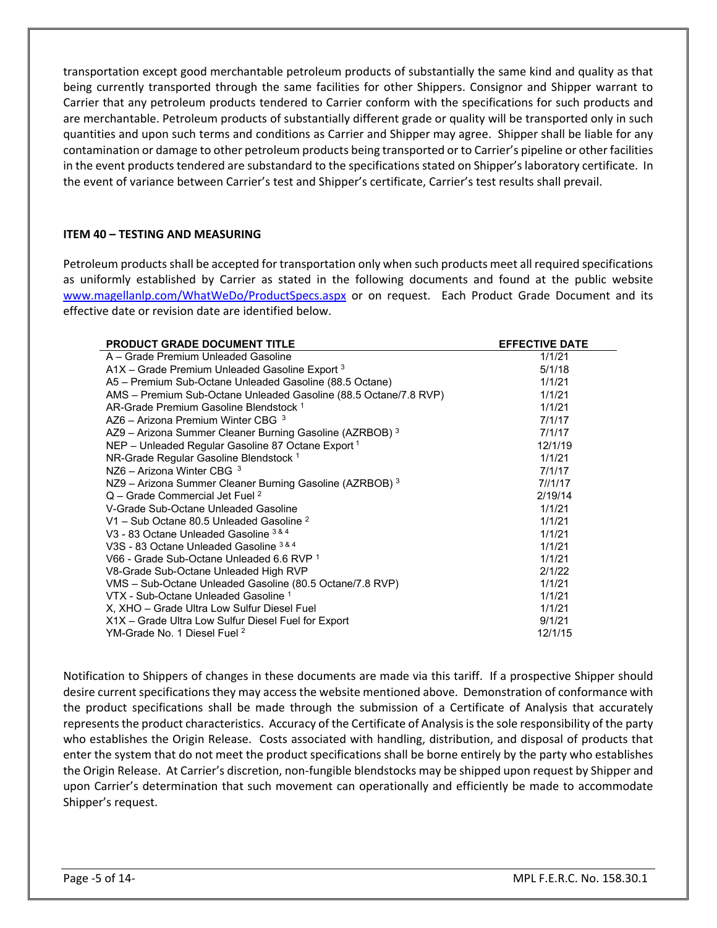transportation except good merchantable petroleum products of substantially the same kind and quality as that being currently transported through the same facilities for other Shippers. Consignor and Shipper warrant to Carrier that any petroleum products tendered to Carrier conform with the specifications for such products and are merchantable. Petroleum products of substantially different grade or quality will be transported only in such quantities and upon such terms and conditions as Carrier and Shipper may agree. Shipper shall be liable for any contamination or damage to other petroleum products being transported or to Carrier's pipeline or other facilities in the event products tendered are substandard to the specifications stated on Shipper's laboratory certificate. In the event of variance between Carrier's test and Shipper's certificate, Carrier's test results shall prevail.

#### **ITEM 40 – TESTING AND MEASURING**

Petroleum products shall be accepted for transportation only when such products meet all required specifications as uniformly established by Carrier as stated in the following documents and found at the public website [www.magellanlp.com/WhatWeDo/ProductSpecs.aspx](http://www.magellanlp.com/WhatWeDo/ProductSpecs.asp) or on request. Each Product Grade Document and its effective date or revision date are identified below.

| <b>PRODUCT GRADE DOCUMENT TITLE</b>                              | <b>EFFECTIVE DATE</b> |
|------------------------------------------------------------------|-----------------------|
| A – Grade Premium Unleaded Gasoline                              | 1/1/21                |
| $A1X$ – Grade Premium Unleaded Gasoline Export $3$               | 5/1/18                |
| A5 - Premium Sub-Octane Unleaded Gasoline (88.5 Octane)          | 1/1/21                |
| AMS - Premium Sub-Octane Unleaded Gasoline (88.5 Octane/7.8 RVP) | 1/1/21                |
| AR-Grade Premium Gasoline Blendstock <sup>1</sup>                | 1/1/21                |
| AZ6 – Arizona Premium Winter CBG $3$                             | 7/1/17                |
| AZ9 – Arizona Summer Cleaner Burning Gasoline (AZRBOB) $3$       | 7/1/17                |
| NEP - Unleaded Regular Gasoline 87 Octane Export <sup>1</sup>    | 12/1/19               |
| NR-Grade Regular Gasoline Blendstock <sup>1</sup>                | 1/1/21                |
| NZ6 - Arizona Winter CBG $3$                                     | 7/1/17                |
| $NZ9$ – Arizona Summer Cleaner Burning Gasoline (AZRBOB) $3$     | 71/1117               |
| $Q$ – Grade Commercial Jet Fuel $^2$                             | 2/19/14               |
| V-Grade Sub-Octane Unleaded Gasoline                             | 1/1/21                |
| V1 - Sub Octane 80.5 Unleaded Gasoline <sup>2</sup>              | 1/1/21                |
| V3 - 83 Octane Unleaded Gasoline 3 & 4                           | 1/1/21                |
| V3S - 83 Octane Unleaded Gasoline 3 & 4                          | 1/1/21                |
| V66 - Grade Sub-Octane Unleaded 6.6 RVP 1                        | 1/1/21                |
| V8-Grade Sub-Octane Unleaded High RVP                            | 2/1/22                |
| VMS - Sub-Octane Unleaded Gasoline (80.5 Octane/7.8 RVP)         | 1/1/21                |
| VTX - Sub-Octane Unleaded Gasoline 1                             | 1/1/21                |
| X, XHO - Grade Ultra Low Sulfur Diesel Fuel                      | 1/1/21                |
| X1X – Grade Ultra Low Sulfur Diesel Fuel for Export              | 9/1/21                |
| YM-Grade No. 1 Diesel Fuel <sup>2</sup>                          | 12/1/15               |

Notification to Shippers of changes in these documents are made via this tariff. If a prospective Shipper should desire current specifications they may access the website mentioned above. Demonstration of conformance with the product specifications shall be made through the submission of a Certificate of Analysis that accurately represents the product characteristics. Accuracy of the Certificate of Analysis is the sole responsibility of the party who establishes the Origin Release. Costs associated with handling, distribution, and disposal of products that enter the system that do not meet the product specifications shall be borne entirely by the party who establishes the Origin Release. At Carrier's discretion, non-fungible blendstocks may be shipped upon request by Shipper and upon Carrier's determination that such movement can operationally and efficiently be made to accommodate Shipper's request.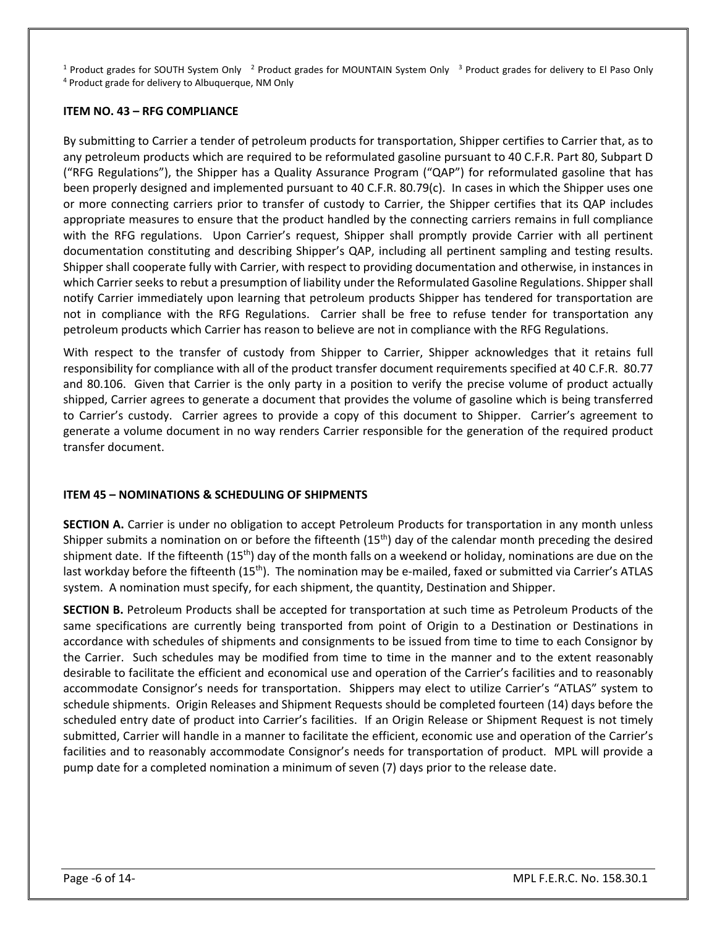<sup>1</sup> Product grades for SOUTH System Only <sup>2</sup> Product grades for MOUNTAIN System Only <sup>3</sup> Product grades for delivery to El Paso Only 4 Product grade for delivery to El Paso Only

#### **ITEM NO. 43 – RFG COMPLIANCE**

By submitting to Carrier a tender of petroleum products for transportation, Shipper certifies to Carrier that, as to any petroleum products which are required to be reformulated gasoline pursuant to 40 C.F.R. Part 80, Subpart D ("RFG Regulations"), the Shipper has a Quality Assurance Program ("QAP") for reformulated gasoline that has been properly designed and implemented pursuant to 40 C.F.R. 80.79(c). In cases in which the Shipper uses one or more connecting carriers prior to transfer of custody to Carrier, the Shipper certifies that its QAP includes appropriate measures to ensure that the product handled by the connecting carriers remains in full compliance with the RFG regulations. Upon Carrier's request, Shipper shall promptly provide Carrier with all pertinent documentation constituting and describing Shipper's QAP, including all pertinent sampling and testing results. Shipper shall cooperate fully with Carrier, with respect to providing documentation and otherwise, in instances in which Carrier seeks to rebut a presumption of liability under the Reformulated Gasoline Regulations. Shipper shall notify Carrier immediately upon learning that petroleum products Shipper has tendered for transportation are not in compliance with the RFG Regulations. Carrier shall be free to refuse tender for transportation any petroleum products which Carrier has reason to believe are not in compliance with the RFG Regulations.

With respect to the transfer of custody from Shipper to Carrier, Shipper acknowledges that it retains full responsibility for compliance with all of the product transfer document requirements specified at 40 C.F.R. 80.77 and 80.106. Given that Carrier is the only party in a position to verify the precise volume of product actually shipped, Carrier agrees to generate a document that provides the volume of gasoline which is being transferred to Carrier's custody. Carrier agrees to provide a copy of this document to Shipper. Carrier's agreement to generate a volume document in no way renders Carrier responsible for the generation of the required product transfer document.

#### **ITEM 45 – NOMINATIONS & SCHEDULING OF SHIPMENTS**

**SECTION A.** Carrier is under no obligation to accept Petroleum Products for transportation in any month unless Shipper submits a nomination on or before the fifteenth  $(15<sup>th</sup>)$  day of the calendar month preceding the desired shipment date. If the fifteenth  $(15<sup>th</sup>)$  day of the month falls on a weekend or holiday, nominations are due on the last workday before the fifteenth (15<sup>th</sup>). The nomination may be e-mailed, faxed or submitted via Carrier's ATLAS system. A nomination must specify, for each shipment, the quantity, Destination and Shipper.

**SECTION B.** Petroleum Products shall be accepted for transportation at such time as Petroleum Products of the same specifications are currently being transported from point of Origin to a Destination or Destinations in accordance with schedules of shipments and consignments to be issued from time to time to each Consignor by the Carrier. Such schedules may be modified from time to time in the manner and to the extent reasonably desirable to facilitate the efficient and economical use and operation of the Carrier's facilities and to reasonably accommodate Consignor's needs for transportation. Shippers may elect to utilize Carrier's "ATLAS" system to schedule shipments. Origin Releases and Shipment Requests should be completed fourteen (14) days before the scheduled entry date of product into Carrier's facilities. If an Origin Release or Shipment Request is not timely submitted, Carrier will handle in a manner to facilitate the efficient, economic use and operation of the Carrier's facilities and to reasonably accommodate Consignor's needs for transportation of product. MPL will provide a pump date for a completed nomination a minimum of seven (7) days prior to the release date.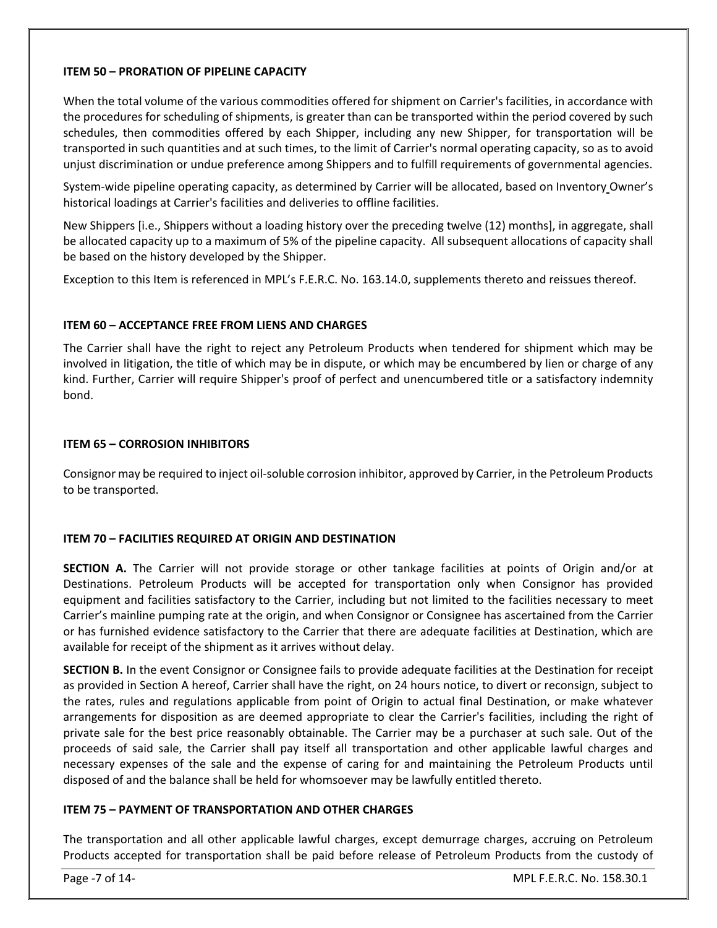#### **ITEM 50 – PRORATION OF PIPELINE CAPACITY**

When the total volume of the various commodities offered for shipment on Carrier's facilities, in accordance with the procedures for scheduling of shipments, is greater than can be transported within the period covered by such schedules, then commodities offered by each Shipper, including any new Shipper, for transportation will be transported in such quantities and at such times, to the limit of Carrier's normal operating capacity, so as to avoid unjust discrimination or undue preference among Shippers and to fulfill requirements of governmental agencies.

System-wide pipeline operating capacity, as determined by Carrier will be allocated, based on Inventory Owner's historical loadings at Carrier's facilities and deliveries to offline facilities.

New Shippers [i.e., Shippers without a loading history over the preceding twelve (12) months], in aggregate, shall be allocated capacity up to a maximum of 5% of the pipeline capacity. All subsequent allocations of capacity shall be based on the history developed by the Shipper.

Exception to this Item is referenced in MPL's F.E.R.C. No. 163.14.0, supplements thereto and reissues thereof.

#### **ITEM 60 – ACCEPTANCE FREE FROM LIENS AND CHARGES**

The Carrier shall have the right to reject any Petroleum Products when tendered for shipment which may be involved in litigation, the title of which may be in dispute, or which may be encumbered by lien or charge of any kind. Further, Carrier will require Shipper's proof of perfect and unencumbered title or a satisfactory indemnity bond.

#### **ITEM 65 – CORROSION INHIBITORS**

Consignor may be required to inject oil-soluble corrosion inhibitor, approved by Carrier, in the Petroleum Products to be transported.

#### **ITEM 70 – FACILITIES REQUIRED AT ORIGIN AND DESTINATION**

**SECTION A.** The Carrier will not provide storage or other tankage facilities at points of Origin and/or at Destinations. Petroleum Products will be accepted for transportation only when Consignor has provided equipment and facilities satisfactory to the Carrier, including but not limited to the facilities necessary to meet Carrier's mainline pumping rate at the origin, and when Consignor or Consignee has ascertained from the Carrier or has furnished evidence satisfactory to the Carrier that there are adequate facilities at Destination, which are available for receipt of the shipment as it arrives without delay.

**SECTION B.** In the event Consignor or Consignee fails to provide adequate facilities at the Destination for receipt as provided in Section A hereof, Carrier shall have the right, on 24 hours notice, to divert or reconsign, subject to the rates, rules and regulations applicable from point of Origin to actual final Destination, or make whatever arrangements for disposition as are deemed appropriate to clear the Carrier's facilities, including the right of private sale for the best price reasonably obtainable. The Carrier may be a purchaser at such sale. Out of the proceeds of said sale, the Carrier shall pay itself all transportation and other applicable lawful charges and necessary expenses of the sale and the expense of caring for and maintaining the Petroleum Products until disposed of and the balance shall be held for whomsoever may be lawfully entitled thereto.

#### **ITEM 75 – PAYMENT OF TRANSPORTATION AND OTHER CHARGES**

The transportation and all other applicable lawful charges, except demurrage charges, accruing on Petroleum Products accepted for transportation shall be paid before release of Petroleum Products from the custody of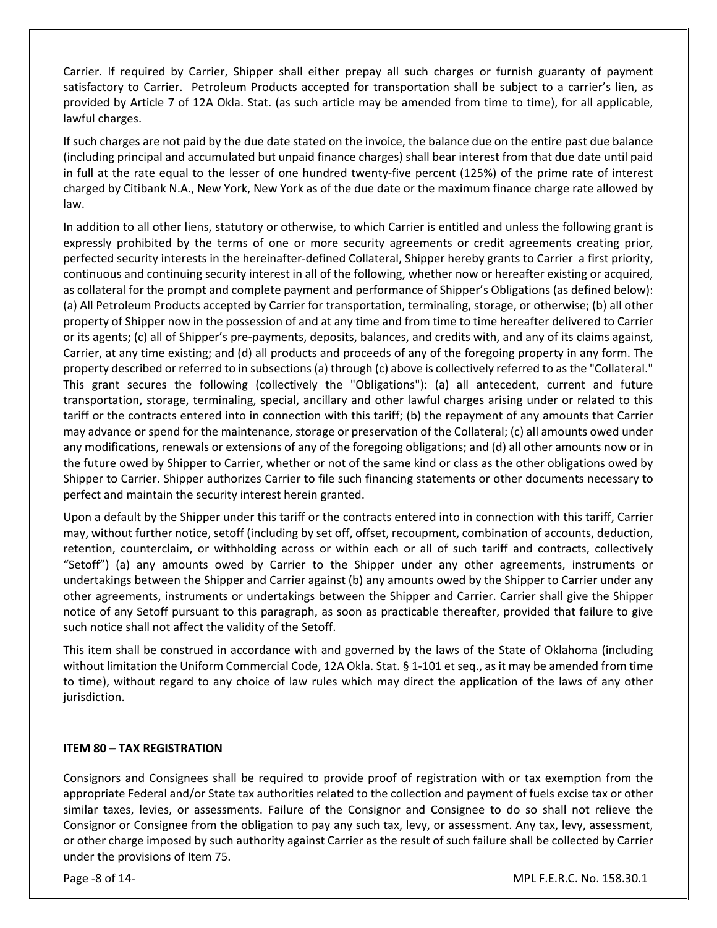Carrier. If required by Carrier, Shipper shall either prepay all such charges or furnish guaranty of payment satisfactory to Carrier. Petroleum Products accepted for transportation shall be subject to a carrier's lien, as provided by Article 7 of 12A Okla. Stat. (as such article may be amended from time to time), for all applicable, lawful charges.

If such charges are not paid by the due date stated on the invoice, the balance due on the entire past due balance (including principal and accumulated but unpaid finance charges) shall bear interest from that due date until paid in full at the rate equal to the lesser of one hundred twenty-five percent (125%) of the prime rate of interest charged by Citibank N.A., New York, New York as of the due date or the maximum finance charge rate allowed by law.

In addition to all other liens, statutory or otherwise, to which Carrier is entitled and unless the following grant is expressly prohibited by the terms of one or more security agreements or credit agreements creating prior, perfected security interests in the hereinafter-defined Collateral, Shipper hereby grants to Carrier a first priority, continuous and continuing security interest in all of the following, whether now or hereafter existing or acquired, as collateral for the prompt and complete payment and performance of Shipper's Obligations (as defined below): (a) All Petroleum Products accepted by Carrier for transportation, terminaling, storage, or otherwise; (b) all other property of Shipper now in the possession of and at any time and from time to time hereafter delivered to Carrier or its agents; (c) all of Shipper's pre-payments, deposits, balances, and credits with, and any of its claims against, Carrier, at any time existing; and (d) all products and proceeds of any of the foregoing property in any form. The property described or referred to in subsections (a) through (c) above is collectively referred to as the "Collateral." This grant secures the following (collectively the "Obligations"): (a) all antecedent, current and future transportation, storage, terminaling, special, ancillary and other lawful charges arising under or related to this tariff or the contracts entered into in connection with this tariff; (b) the repayment of any amounts that Carrier may advance or spend for the maintenance, storage or preservation of the Collateral; (c) all amounts owed under any modifications, renewals or extensions of any of the foregoing obligations; and (d) all other amounts now or in the future owed by Shipper to Carrier, whether or not of the same kind or class as the other obligations owed by Shipper to Carrier. Shipper authorizes Carrier to file such financing statements or other documents necessary to perfect and maintain the security interest herein granted.

Upon a default by the Shipper under this tariff or the contracts entered into in connection with this tariff, Carrier may, without further notice, setoff (including by set off, offset, recoupment, combination of accounts, deduction, retention, counterclaim, or withholding across or within each or all of such tariff and contracts, collectively "Setoff") (a) any amounts owed by Carrier to the Shipper under any other agreements, instruments or undertakings between the Shipper and Carrier against (b) any amounts owed by the Shipper to Carrier under any other agreements, instruments or undertakings between the Shipper and Carrier. Carrier shall give the Shipper notice of any Setoff pursuant to this paragraph, as soon as practicable thereafter, provided that failure to give such notice shall not affect the validity of the Setoff.

This item shall be construed in accordance with and governed by the laws of the State of Oklahoma (including without limitation the Uniform Commercial Code, 12A Okla. Stat. § 1-101 et seq., as it may be amended from time to time), without regard to any choice of law rules which may direct the application of the laws of any other jurisdiction.

#### **ITEM 80 – TAX REGISTRATION**

Consignors and Consignees shall be required to provide proof of registration with or tax exemption from the appropriate Federal and/or State tax authorities related to the collection and payment of fuels excise tax or other similar taxes, levies, or assessments. Failure of the Consignor and Consignee to do so shall not relieve the Consignor or Consignee from the obligation to pay any such tax, levy, or assessment. Any tax, levy, assessment, or other charge imposed by such authority against Carrier as the result of such failure shall be collected by Carrier under the provisions of Item 75.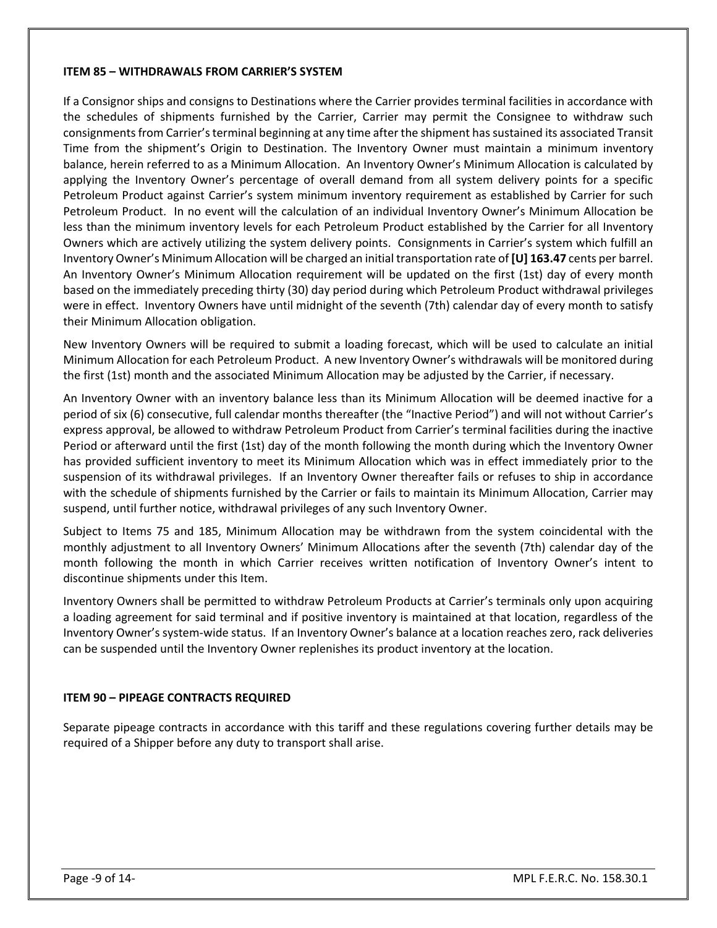#### **ITEM 85 – WITHDRAWALS FROM CARRIER'S SYSTEM**

If a Consignor ships and consigns to Destinations where the Carrier provides terminal facilities in accordance with the schedules of shipments furnished by the Carrier, Carrier may permit the Consignee to withdraw such consignments from Carrier's terminal beginning at any time after the shipment has sustained its associated Transit Time from the shipment's Origin to Destination. The Inventory Owner must maintain a minimum inventory balance, herein referred to as a Minimum Allocation. An Inventory Owner's Minimum Allocation is calculated by applying the Inventory Owner's percentage of overall demand from all system delivery points for a specific Petroleum Product against Carrier's system minimum inventory requirement as established by Carrier for such Petroleum Product. In no event will the calculation of an individual Inventory Owner's Minimum Allocation be less than the minimum inventory levels for each Petroleum Product established by the Carrier for all Inventory Owners which are actively utilizing the system delivery points. Consignments in Carrier's system which fulfill an Inventory Owner's Minimum Allocation will be charged an initial transportation rate of **[U] 163.47** cents per barrel. An Inventory Owner's Minimum Allocation requirement will be updated on the first (1st) day of every month based on the immediately preceding thirty (30) day period during which Petroleum Product withdrawal privileges were in effect. Inventory Owners have until midnight of the seventh (7th) calendar day of every month to satisfy their Minimum Allocation obligation.

New Inventory Owners will be required to submit a loading forecast, which will be used to calculate an initial Minimum Allocation for each Petroleum Product. A new Inventory Owner's withdrawals will be monitored during the first (1st) month and the associated Minimum Allocation may be adjusted by the Carrier, if necessary.

An Inventory Owner with an inventory balance less than its Minimum Allocation will be deemed inactive for a period of six (6) consecutive, full calendar months thereafter (the "Inactive Period") and will not without Carrier's express approval, be allowed to withdraw Petroleum Product from Carrier's terminal facilities during the inactive Period or afterward until the first (1st) day of the month following the month during which the Inventory Owner has provided sufficient inventory to meet its Minimum Allocation which was in effect immediately prior to the suspension of its withdrawal privileges. If an Inventory Owner thereafter fails or refuses to ship in accordance with the schedule of shipments furnished by the Carrier or fails to maintain its Minimum Allocation, Carrier may suspend, until further notice, withdrawal privileges of any such Inventory Owner.

Subject to Items 75 and 185, Minimum Allocation may be withdrawn from the system coincidental with the monthly adjustment to all Inventory Owners' Minimum Allocations after the seventh (7th) calendar day of the month following the month in which Carrier receives written notification of Inventory Owner's intent to discontinue shipments under this Item.

Inventory Owners shall be permitted to withdraw Petroleum Products at Carrier's terminals only upon acquiring a loading agreement for said terminal and if positive inventory is maintained at that location, regardless of the Inventory Owner's system-wide status. If an Inventory Owner's balance at a location reaches zero, rack deliveries can be suspended until the Inventory Owner replenishes its product inventory at the location.

#### **ITEM 90 – PIPEAGE CONTRACTS REQUIRED**

Separate pipeage contracts in accordance with this tariff and these regulations covering further details may be required of a Shipper before any duty to transport shall arise.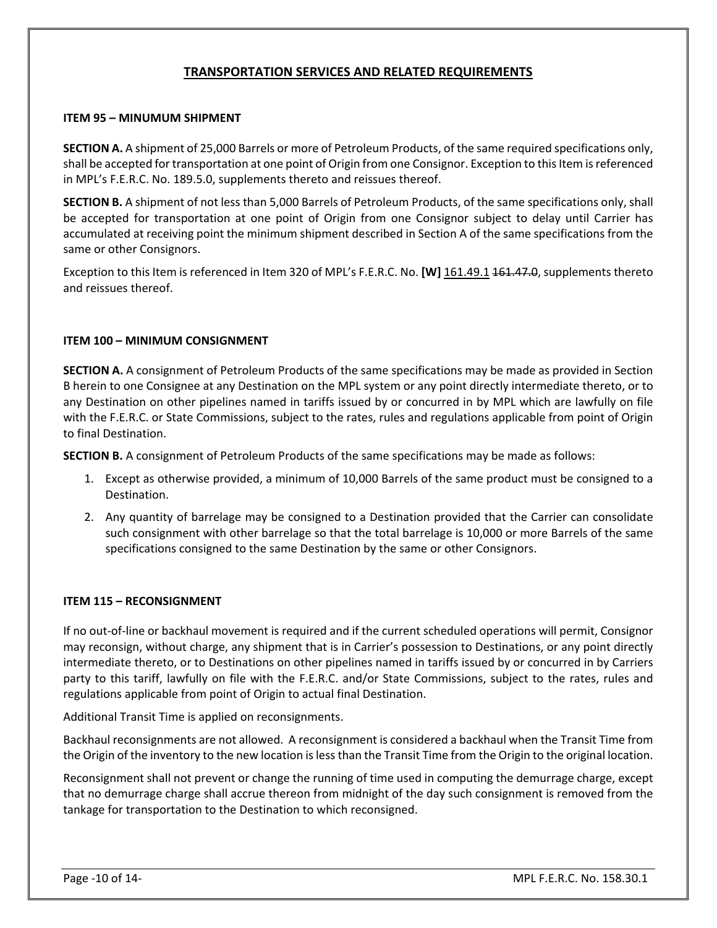### **TRANSPORTATION SERVICES AND RELATED REQUIREMENTS**

#### **ITEM 95 – MINUMUM SHIPMENT**

**SECTION A.** A shipment of 25,000 Barrels or more of Petroleum Products, of the same required specifications only, shall be accepted for transportation at one point of Origin from one Consignor. Exception to this Item is referenced in MPL's F.E.R.C. No. 189.5.0, supplements thereto and reissues thereof.

**SECTION B.** A shipment of not less than 5,000 Barrels of Petroleum Products, of the same specifications only, shall be accepted for transportation at one point of Origin from one Consignor subject to delay until Carrier has accumulated at receiving point the minimum shipment described in Section A of the same specifications from the same or other Consignors.

Exception to this Item is referenced in Item 320 of MPL's F.E.R.C. No. **[W]** 161.49.1 161.47.0, supplements thereto and reissues thereof.

#### **ITEM 100 – MINIMUM CONSIGNMENT**

**SECTION A.** A consignment of Petroleum Products of the same specifications may be made as provided in Section B herein to one Consignee at any Destination on the MPL system or any point directly intermediate thereto, or to any Destination on other pipelines named in tariffs issued by or concurred in by MPL which are lawfully on file with the F.E.R.C. or State Commissions, subject to the rates, rules and regulations applicable from point of Origin to final Destination.

**SECTION B.** A consignment of Petroleum Products of the same specifications may be made as follows:

- 1. Except as otherwise provided, a minimum of 10,000 Barrels of the same product must be consigned to a Destination.
- 2. Any quantity of barrelage may be consigned to a Destination provided that the Carrier can consolidate such consignment with other barrelage so that the total barrelage is 10,000 or more Barrels of the same specifications consigned to the same Destination by the same or other Consignors.

#### **ITEM 115 – RECONSIGNMENT**

If no out-of-line or backhaul movement is required and if the current scheduled operations will permit, Consignor may reconsign, without charge, any shipment that is in Carrier's possession to Destinations, or any point directly intermediate thereto, or to Destinations on other pipelines named in tariffs issued by or concurred in by Carriers party to this tariff, lawfully on file with the F.E.R.C. and/or State Commissions, subject to the rates, rules and regulations applicable from point of Origin to actual final Destination.

Additional Transit Time is applied on reconsignments.

Backhaul reconsignments are not allowed. A reconsignment is considered a backhaul when the Transit Time from the Origin of the inventory to the new location is less than the Transit Time from the Origin to the original location.

Reconsignment shall not prevent or change the running of time used in computing the demurrage charge, except that no demurrage charge shall accrue thereon from midnight of the day such consignment is removed from the tankage for transportation to the Destination to which reconsigned.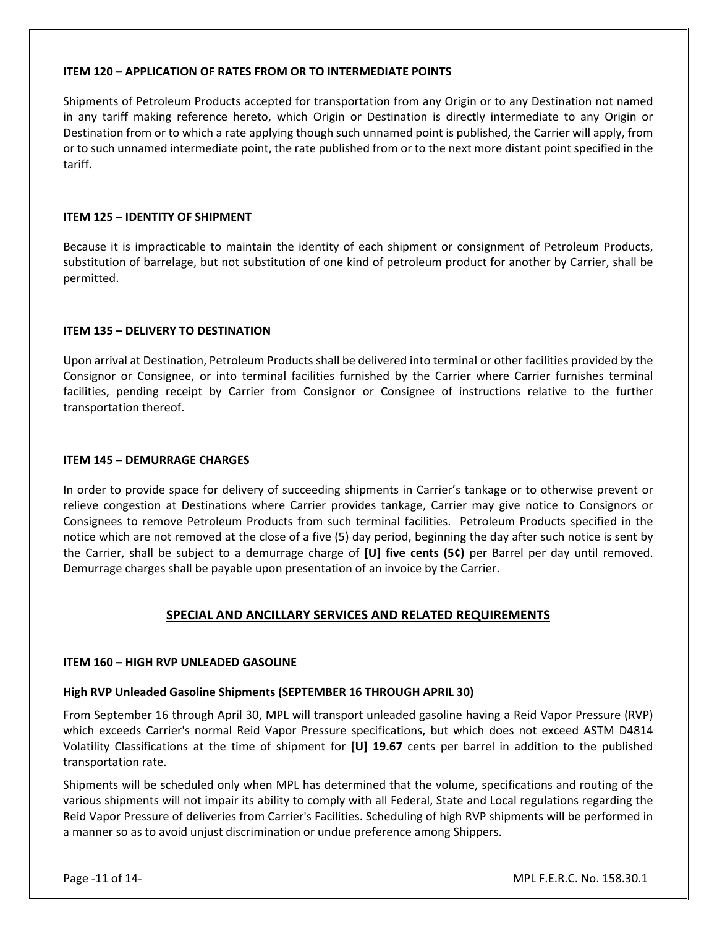#### **ITEM 120 – APPLICATION OF RATES FROM OR TO INTERMEDIATE POINTS**

Shipments of Petroleum Products accepted for transportation from any Origin or to any Destination not named in any tariff making reference hereto, which Origin or Destination is directly intermediate to any Origin or Destination from or to which a rate applying though such unnamed point is published, the Carrier will apply, from or to such unnamed intermediate point, the rate published from or to the next more distant point specified in the tariff.

#### **ITEM 125 – IDENTITY OF SHIPMENT**

Because it is impracticable to maintain the identity of each shipment or consignment of Petroleum Products, substitution of barrelage, but not substitution of one kind of petroleum product for another by Carrier, shall be permitted.

#### **ITEM 135 – DELIVERY TO DESTINATION**

Upon arrival at Destination, Petroleum Products shall be delivered into terminal or other facilities provided by the Consignor or Consignee, or into terminal facilities furnished by the Carrier where Carrier furnishes terminal facilities, pending receipt by Carrier from Consignor or Consignee of instructions relative to the further transportation thereof.

#### **ITEM 145 – DEMURRAGE CHARGES**

In order to provide space for delivery of succeeding shipments in Carrier's tankage or to otherwise prevent or relieve congestion at Destinations where Carrier provides tankage, Carrier may give notice to Consignors or Consignees to remove Petroleum Products from such terminal facilities. Petroleum Products specified in the notice which are not removed at the close of a five (5) day period, beginning the day after such notice is sent by the Carrier, shall be subject to a demurrage charge of **[U] five cents (5¢)** per Barrel per day until removed. Demurrage charges shall be payable upon presentation of an invoice by the Carrier.

#### **SPECIAL AND ANCILLARY SERVICES AND RELATED REQUIREMENTS**

#### **ITEM 160 – HIGH RVP UNLEADED GASOLINE**

#### **High RVP Unleaded Gasoline Shipments (SEPTEMBER 16 THROUGH APRIL 30)**

From September 16 through April 30, MPL will transport unleaded gasoline having a Reid Vapor Pressure (RVP) which exceeds Carrier's normal Reid Vapor Pressure specifications, but which does not exceed ASTM D4814 Volatility Classifications at the time of shipment for **[U] 19.67** cents per barrel in addition to the published transportation rate.

Shipments will be scheduled only when MPL has determined that the volume, specifications and routing of the various shipments will not impair its ability to comply with all Federal, State and Local regulations regarding the Reid Vapor Pressure of deliveries from Carrier's Facilities. Scheduling of high RVP shipments will be performed in a manner so as to avoid unjust discrimination or undue preference among Shippers.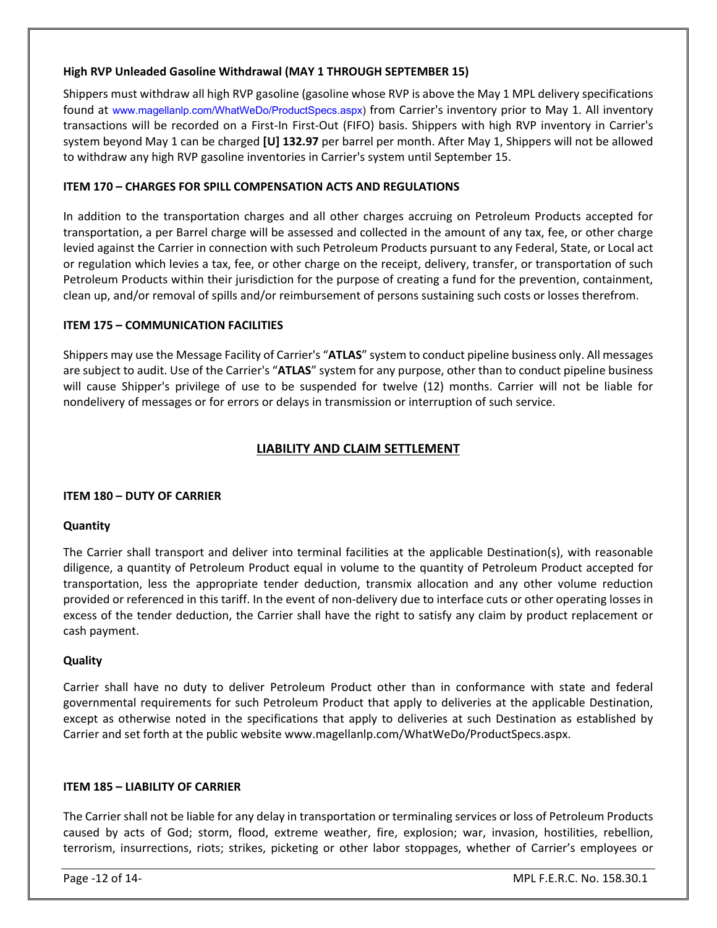#### **High RVP Unleaded Gasoline Withdrawal (MAY 1 THROUGH SEPTEMBER 15)**

Shippers must withdraw all high RVP gasoline (gasoline whose RVP is above the May 1 MPL delivery specifications found at [www.magellanlp.com/WhatWeDo/ProductSpecs.aspx](http://www.magellanlp.com/WhatWeDo/ProductSpecs.asp)) from Carrier's inventory prior to May 1. All inventory transactions will be recorded on a First-In First-Out (FIFO) basis. Shippers with high RVP inventory in Carrier's system beyond May 1 can be charged **[U] 132.97** per barrel per month. After May 1, Shippers will not be allowed to withdraw any high RVP gasoline inventories in Carrier's system until September 15.

#### **ITEM 170 – CHARGES FOR SPILL COMPENSATION ACTS AND REGULATIONS**

In addition to the transportation charges and all other charges accruing on Petroleum Products accepted for transportation, a per Barrel charge will be assessed and collected in the amount of any tax, fee, or other charge levied against the Carrier in connection with such Petroleum Products pursuant to any Federal, State, or Local act or regulation which levies a tax, fee, or other charge on the receipt, delivery, transfer, or transportation of such Petroleum Products within their jurisdiction for the purpose of creating a fund for the prevention, containment, clean up, and/or removal of spills and/or reimbursement of persons sustaining such costs or losses therefrom.

#### **ITEM 175 – COMMUNICATION FACILITIES**

Shippers may use the Message Facility of Carrier's "**ATLAS**" system to conduct pipeline business only. All messages are subject to audit. Use of the Carrier's "**ATLAS**" system for any purpose, other than to conduct pipeline business will cause Shipper's privilege of use to be suspended for twelve (12) months. Carrier will not be liable for nondelivery of messages or for errors or delays in transmission or interruption of such service.

### **LIABILITY AND CLAIM SETTLEMENT**

#### **ITEM 180 – DUTY OF CARRIER**

#### **Quantity**

The Carrier shall transport and deliver into terminal facilities at the applicable Destination(s), with reasonable diligence, a quantity of Petroleum Product equal in volume to the quantity of Petroleum Product accepted for transportation, less the appropriate tender deduction, transmix allocation and any other volume reduction provided or referenced in this tariff. In the event of non-delivery due to interface cuts or other operating losses in excess of the tender deduction, the Carrier shall have the right to satisfy any claim by product replacement or cash payment.

#### **Quality**

Carrier shall have no duty to deliver Petroleum Product other than in conformance with state and federal governmental requirements for such Petroleum Product that apply to deliveries at the applicable Destination, except as otherwise noted in the specifications that apply to deliveries at such Destination as established by Carrier and set forth at the public website www.magellanlp.com/WhatWeDo/ProductSpecs.aspx.

#### **ITEM 185 – LIABILITY OF CARRIER**

The Carrier shall not be liable for any delay in transportation or terminaling services or loss of Petroleum Products caused by acts of God; storm, flood, extreme weather, fire, explosion; war, invasion, hostilities, rebellion, terrorism, insurrections, riots; strikes, picketing or other labor stoppages, whether of Carrier's employees or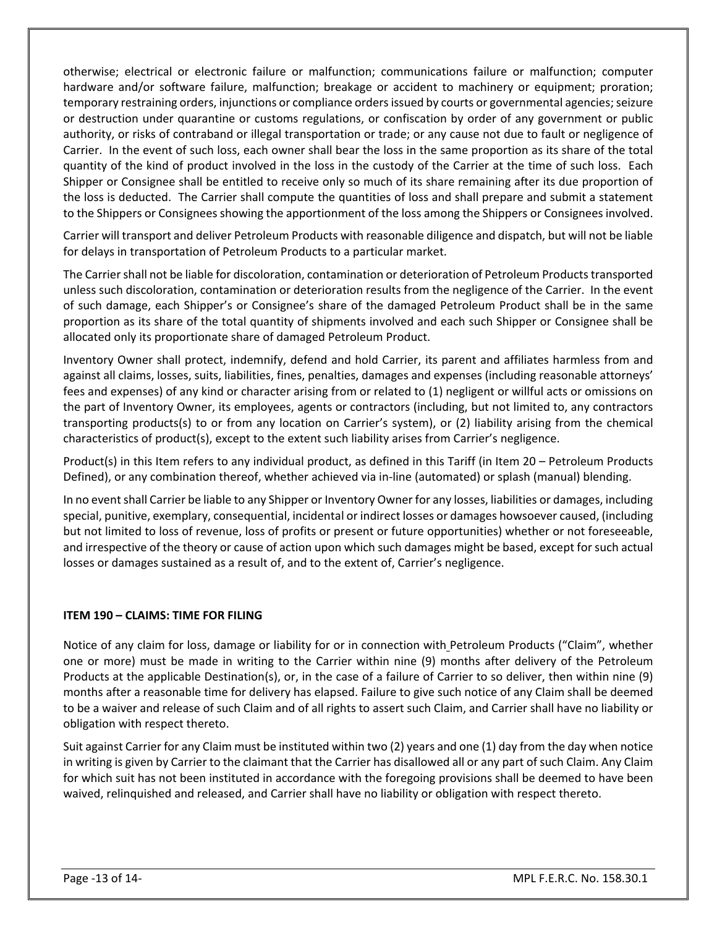otherwise; electrical or electronic failure or malfunction; communications failure or malfunction; computer hardware and/or software failure, malfunction; breakage or accident to machinery or equipment; proration; temporary restraining orders, injunctions or compliance orders issued by courts or governmental agencies; seizure or destruction under quarantine or customs regulations, or confiscation by order of any government or public authority, or risks of contraband or illegal transportation or trade; or any cause not due to fault or negligence of Carrier. In the event of such loss, each owner shall bear the loss in the same proportion as its share of the total quantity of the kind of product involved in the loss in the custody of the Carrier at the time of such loss. Each Shipper or Consignee shall be entitled to receive only so much of its share remaining after its due proportion of the loss is deducted. The Carrier shall compute the quantities of loss and shall prepare and submit a statement to the Shippers or Consignees showing the apportionment of the loss among the Shippers or Consignees involved.

Carrier will transport and deliver Petroleum Products with reasonable diligence and dispatch, but will not be liable for delays in transportation of Petroleum Products to a particular market.

The Carrier shall not be liable for discoloration, contamination or deterioration of Petroleum Products transported unless such discoloration, contamination or deterioration results from the negligence of the Carrier. In the event of such damage, each Shipper's or Consignee's share of the damaged Petroleum Product shall be in the same proportion as its share of the total quantity of shipments involved and each such Shipper or Consignee shall be allocated only its proportionate share of damaged Petroleum Product.

Inventory Owner shall protect, indemnify, defend and hold Carrier, its parent and affiliates harmless from and against all claims, losses, suits, liabilities, fines, penalties, damages and expenses (including reasonable attorneys' fees and expenses) of any kind or character arising from or related to (1) negligent or willful acts or omissions on the part of Inventory Owner, its employees, agents or contractors (including, but not limited to, any contractors transporting products(s) to or from any location on Carrier's system), or (2) liability arising from the chemical characteristics of product(s), except to the extent such liability arises from Carrier's negligence.

Product(s) in this Item refers to any individual product, as defined in this Tariff (in Item 20 – Petroleum Products Defined), or any combination thereof, whether achieved via in-line (automated) or splash (manual) blending.

In no event shall Carrier be liable to any Shipper or Inventory Owner for any losses, liabilities or damages, including special, punitive, exemplary, consequential, incidental or indirect losses or damages howsoever caused, (including but not limited to loss of revenue, loss of profits or present or future opportunities) whether or not foreseeable, and irrespective of the theory or cause of action upon which such damages might be based, except for such actual losses or damages sustained as a result of, and to the extent of, Carrier's negligence.

#### **ITEM 190 – CLAIMS: TIME FOR FILING**

Notice of any claim for loss, damage or liability for or in connection with Petroleum Products ("Claim", whether one or more) must be made in writing to the Carrier within nine (9) months after delivery of the Petroleum Products at the applicable Destination(s), or, in the case of a failure of Carrier to so deliver, then within nine (9) months after a reasonable time for delivery has elapsed. Failure to give such notice of any Claim shall be deemed to be a waiver and release of such Claim and of all rights to assert such Claim, and Carrier shall have no liability or obligation with respect thereto.

Suit against Carrier for any Claim must be instituted within two (2) years and one (1) day from the day when notice in writing is given by Carrier to the claimant that the Carrier has disallowed all or any part of such Claim. Any Claim for which suit has not been instituted in accordance with the foregoing provisions shall be deemed to have been waived, relinquished and released, and Carrier shall have no liability or obligation with respect thereto.